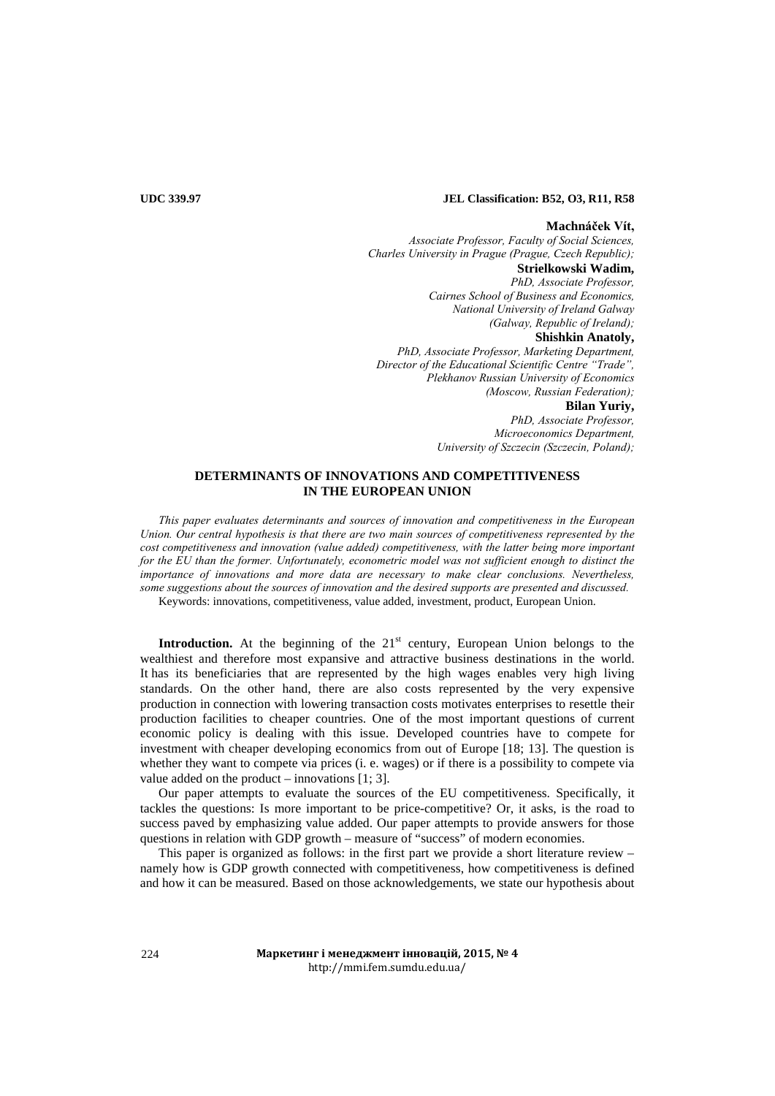# **UDC 339.97 JEL Classification: B52, O3, R11, R58**

### **Machnáček Vít,**

*Associate Professor, Faculty of Social Sciences, Charles University in Prague (Prague, Czech Republic);*  **Strielkowski Wadim,** *PhD, Associate Professor, Cairnes School of Business and Economics, National University of Ireland Galway (Galway, Republic of Ireland);*  **Shishkin Anatoly,** *PhD, Associate Professor, Marketing Department, Director of the Educational Scientific Centre "Trade", Plekhanov Russian University of Economics (Moscow, Russian Federation);*  **Bilan Yuriy,**  *PhD, Associate Professor,* 

*Microeconomics Department, University of Szczecin (Szczecin, Poland);* 

## **DETERMINANTS OF INNOVATIONS AND COMPETITIVENESS IN THE EUROPEAN UNION**

*This paper evaluates determinants and sources of innovation and competitiveness in the European Union. Our central hypothesis is that there are two main sources of competitiveness represented by the cost competitiveness and innovation (value added) competitiveness, with the latter being more important for the EU than the former. Unfortunately, econometric model was not sufficient enough to distinct the importance of innovations and more data are necessary to make clear conclusions. Nevertheless, some suggestions about the sources of innovation and the desired supports are presented and discussed.*

Keywords: innovations, competitiveness, value added, investment, product, European Union.

**Introduction.** At the beginning of the 21<sup>st</sup> century, European Union belongs to the wealthiest and therefore most expansive and attractive business destinations in the world. It has its beneficiaries that are represented by the high wages enables very high living standards. On the other hand, there are also costs represented by the very expensive production in connection with lowering transaction costs motivates enterprises to resettle their production facilities to cheaper countries. One of the most important questions of current economic policy is dealing with this issue. Developed countries have to compete for investment with cheaper developing economics from out of Europe [18; 13]. The question is whether they want to compete via prices (i. e. wages) or if there is a possibility to compete via value added on the product – innovations [1; 3].

Our paper attempts to evaluate the sources of the EU competitiveness. Specifically, it tackles the questions: Is more important to be price-competitive? Or, it asks, is the road to success paved by emphasizing value added. Our paper attempts to provide answers for those questions in relation with GDP growth – measure of "success" of modern economies.

This paper is organized as follows: in the first part we provide a short literature review – namely how is GDP growth connected with competitiveness, how competitiveness is defined and how it can be measured. Based on those acknowledgements, we state our hypothesis about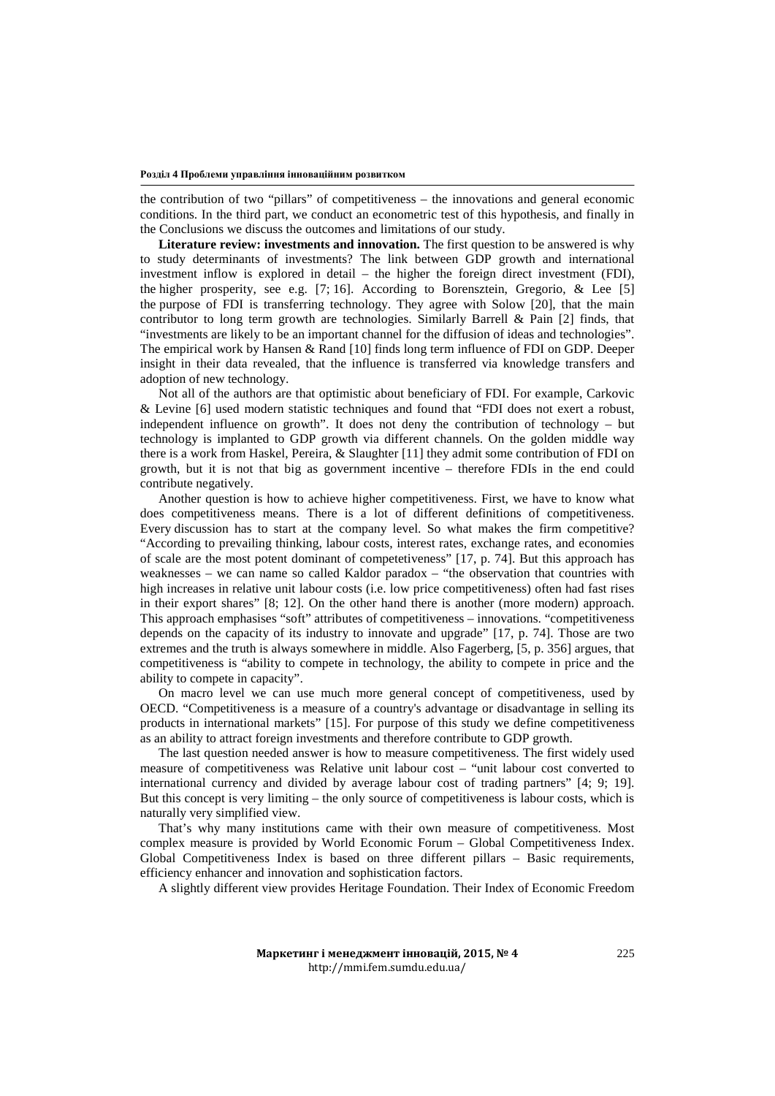the contribution of two "pillars" of competitiveness – the innovations and general economic conditions. In the third part, we conduct an econometric test of this hypothesis, and finally in the Conclusions we discuss the outcomes and limitations of our study.

**Literature review: investments and innovation.** The first question to be answered is why to study determinants of investments? The link between GDP growth and international investment inflow is explored in detail – the higher the foreign direct investment (FDI), the higher prosperity, see e.g. [7; 16]. According to Borensztein, Gregorio, & Lee [5] the purpose of FDI is transferring technology. They agree with Solow [20], that the main contributor to long term growth are technologies. Similarly Barrell & Pain [2] finds, that "investments are likely to be an important channel for the diffusion of ideas and technologies". The empirical work by Hansen & Rand [10] finds long term influence of FDI on GDP. Deeper insight in their data revealed, that the influence is transferred via knowledge transfers and adoption of new technology.

Not all of the authors are that optimistic about beneficiary of FDI. For example, Carkovic & Levine [6] used modern statistic techniques and found that "FDI does not exert a robust, independent influence on growth". It does not deny the contribution of technology – but technology is implanted to GDP growth via different channels. On the golden middle way there is a work from Haskel, Pereira, & Slaughter [11] they admit some contribution of FDI on growth, but it is not that big as government incentive – therefore FDIs in the end could contribute negatively.

Another question is how to achieve higher competitiveness. First, we have to know what does competitiveness means. There is a lot of different definitions of competitiveness. Every discussion has to start at the company level. So what makes the firm competitive? "According to prevailing thinking, labour costs, interest rates, exchange rates, and economies of scale are the most potent dominant of competetiveness" [17, p. 74]. But this approach has weaknesses – we can name so called Kaldor paradox – "the observation that countries with high increases in relative unit labour costs (i.e. low price competitiveness) often had fast rises in their export shares" [8; 12]. On the other hand there is another (more modern) approach. This approach emphasises "soft" attributes of competitiveness – innovations. "competitiveness depends on the capacity of its industry to innovate and upgrade" [17, p. 74]. Those are two extremes and the truth is always somewhere in middle. Also Fagerberg, [5, p. 356] argues, that competitiveness is "ability to compete in technology, the ability to compete in price and the ability to compete in capacity".

On macro level we can use much more general concept of competitiveness, used by OECD. "Competitiveness is a measure of a country's advantage or disadvantage in selling its products in international markets" [15]. For purpose of this study we define competitiveness as an ability to attract foreign investments and therefore contribute to GDP growth.

The last question needed answer is how to measure competitiveness. The first widely used measure of competitiveness was Relative unit labour cost – "unit labour cost converted to international currency and divided by average labour cost of trading partners" [4; 9; 19]. But this concept is very limiting – the only source of competitiveness is labour costs, which is naturally very simplified view.

That's why many institutions came with their own measure of competitiveness. Most complex measure is provided by World Economic Forum – Global Competitiveness Index. Global Competitiveness Index is based on three different pillars – Basic requirements, efficiency enhancer and innovation and sophistication factors.

A slightly different view provides Heritage Foundation. Their Index of Economic Freedom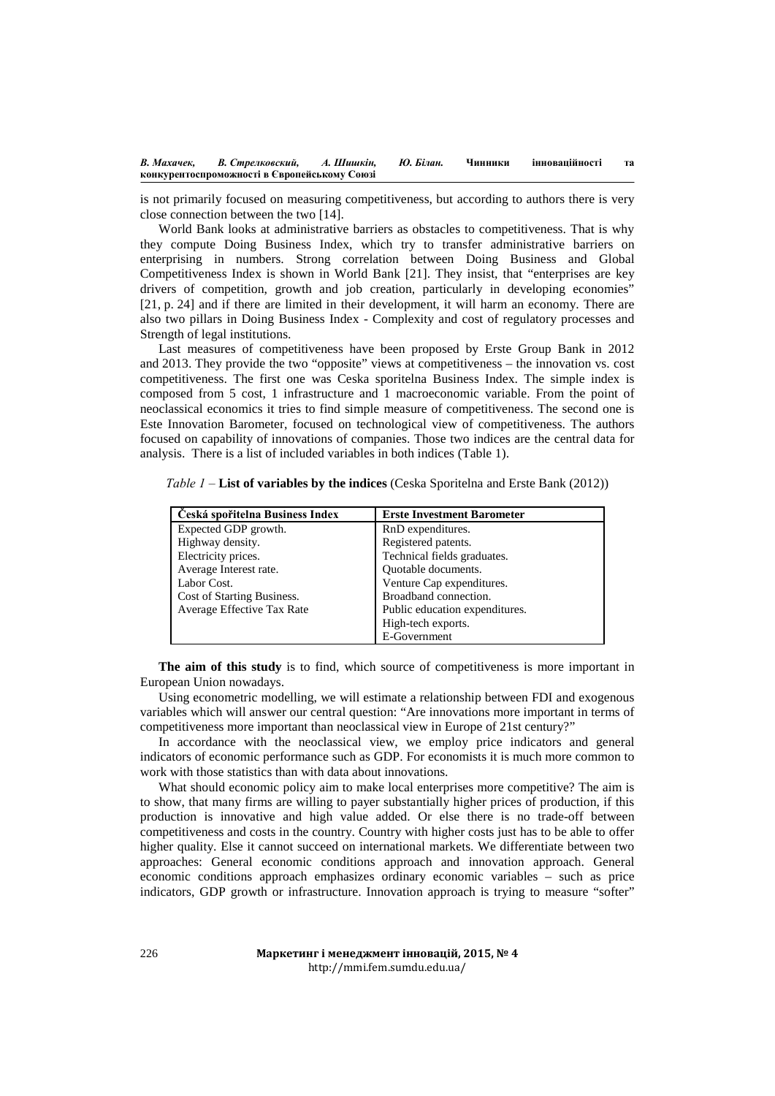is not primarily focused on measuring competitiveness, but according to authors there is very close connection between the two [14].

World Bank looks at administrative barriers as obstacles to competitiveness. That is why they compute Doing Business Index, which try to transfer administrative barriers on enterprising in numbers. Strong correlation between Doing Business and Global Competitiveness Index is shown in World Bank [21]. They insist, that "enterprises are key drivers of competition, growth and job creation, particularly in developing economies" [21, p. 24] and if there are limited in their development, it will harm an economy. There are also two pillars in Doing Business Index - Complexity and cost of regulatory processes and Strength of legal institutions.

Last measures of competitiveness have been proposed by Erste Group Bank in 2012 and 2013. They provide the two "opposite" views at competitiveness – the innovation vs. cost competitiveness. The first one was Ceska sporitelna Business Index. The simple index is composed from 5 cost, 1 infrastructure and 1 macroeconomic variable. From the point of neoclassical economics it tries to find simple measure of competitiveness. The second one is Este Innovation Barometer, focused on technological view of competitiveness. The authors focused on capability of innovations of companies. Those two indices are the central data for analysis. There is a list of included variables in both indices (Table 1).

| Ceská spořitelna Business Index | <b>Erste Investment Barometer</b> |
|---------------------------------|-----------------------------------|
| Expected GDP growth.            | RnD expenditures.                 |
| Highway density.                | Registered patents.               |
| Electricity prices.             | Technical fields graduates.       |
| Average Interest rate.          | Quotable documents.               |
| Labor Cost.                     | Venture Cap expenditures.         |
| Cost of Starting Business.      | Broadband connection.             |
| Average Effective Tax Rate      | Public education expenditures.    |
|                                 | High-tech exports.                |
|                                 | E-Government                      |

*Table 1 –* **List of variables by the indices** (Ceska Sporitelna and Erste Bank (2012))

**The aim of this study** is to find, which source of competitiveness is more important in European Union nowadays.

Using econometric modelling, we will estimate a relationship between FDI and exogenous variables which will answer our central question: "Are innovations more important in terms of competitiveness more important than neoclassical view in Europe of 21st century?"

In accordance with the neoclassical view, we employ price indicators and general indicators of economic performance such as GDP. For economists it is much more common to work with those statistics than with data about innovations.

What should economic policy aim to make local enterprises more competitive? The aim is to show, that many firms are willing to payer substantially higher prices of production, if this production is innovative and high value added. Or else there is no trade-off between competitiveness and costs in the country. Country with higher costs just has to be able to offer higher quality. Else it cannot succeed on international markets. We differentiate between two approaches: General economic conditions approach and innovation approach. General economic conditions approach emphasizes ordinary economic variables – such as price indicators, GDP growth or infrastructure. Innovation approach is trying to measure "softer"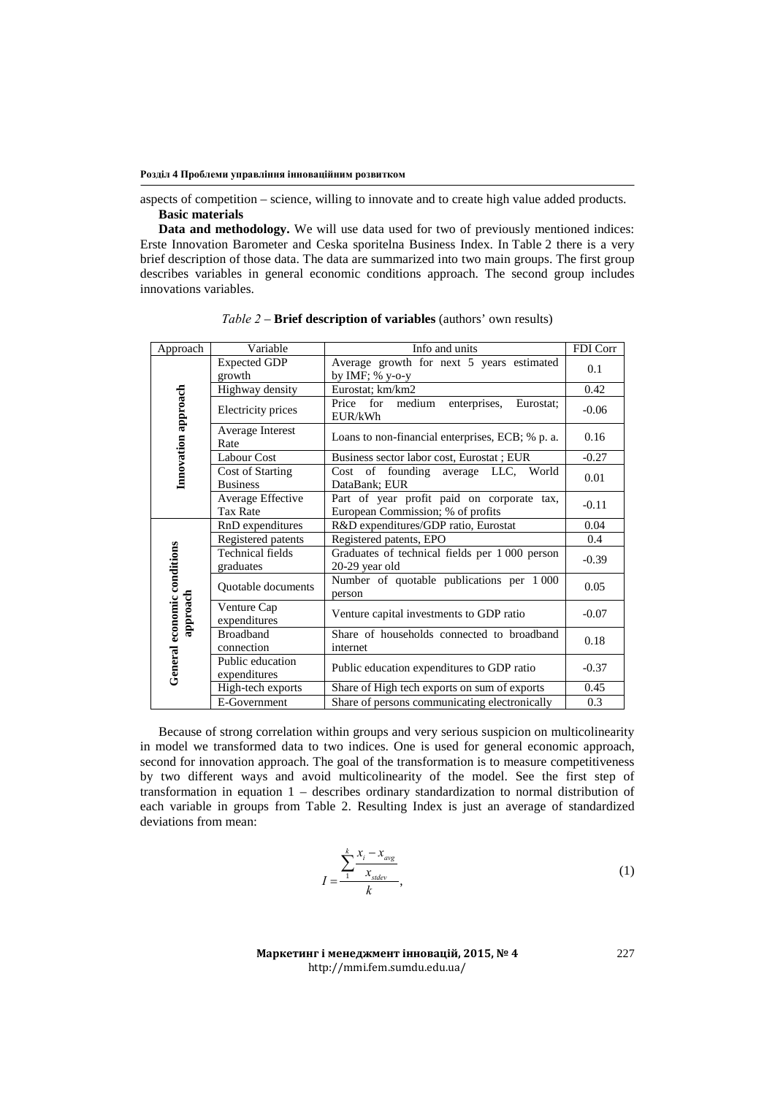**Розділ 4 Проблеми управління інноваційним розвитком**

aspects of competition – science, willing to innovate and to create high value added products. **Basic materials**

**Data and methodology.** We will use data used for two of previously mentioned indices: Erste Innovation Barometer and Ceska sporitelna Business Index. In Table 2 there is a very brief description of those data. The data are summarized into two main groups. The first group describes variables in general economic conditions approach. The second group includes innovations variables.

| Approach                                | Variable                         | Info and units                                                 | FDI Corr |
|-----------------------------------------|----------------------------------|----------------------------------------------------------------|----------|
| Innovation approach                     | <b>Expected GDP</b>              | Average growth for next 5 years estimated                      | 0.1      |
|                                         | growth                           | by IMF; $%$ y-o-y                                              |          |
|                                         | Highway density                  | Eurostat; km/km2                                               | 0.42     |
|                                         | Electricity prices               | for<br>Price<br>medium<br>enterprises,<br>Eurostat:<br>EUR/kWh | $-0.06$  |
|                                         | Average Interest<br>Rate         | Loans to non-financial enterprises, ECB; % p. a.               | 0.16     |
|                                         | Labour Cost                      | Business sector labor cost, Eurostat; EUR                      | $-0.27$  |
|                                         | Cost of Starting                 | Cost of founding<br>average LLC, World                         | 0.01     |
|                                         | <b>Business</b>                  | DataBank; EUR                                                  |          |
|                                         | Average Effective                | Part of year profit paid on corporate tax,                     | $-0.11$  |
|                                         | <b>Tax Rate</b>                  | European Commission; % of profits                              |          |
|                                         | RnD expenditures                 | R&D expenditures/GDP ratio, Eurostat                           | 0.04     |
|                                         | Registered patents               | Registered patents, EPO                                        | 0.4      |
|                                         | Technical fields                 | Graduates of technical fields per 1 000 person                 | $-0.39$  |
| General economic conditions<br>approach | graduates                        | 20-29 year old                                                 |          |
|                                         | Quotable documents               | Number of quotable publications per 1 000<br>person            | 0.05     |
|                                         | Venture Cap<br>expenditures      | Venture capital investments to GDP ratio                       | $-0.07$  |
|                                         | <b>Broadband</b>                 | Share of households connected to broadband                     | 0.18     |
|                                         | connection                       | internet                                                       |          |
|                                         | Public education<br>expenditures | Public education expenditures to GDP ratio                     | $-0.37$  |
|                                         | High-tech exports                | Share of High tech exports on sum of exports                   | 0.45     |
|                                         | E-Government                     | Share of persons communicating electronically                  | 0.3      |

*Table 2* – **Brief description of variables** (authors' own results)

Because of strong correlation within groups and very serious suspicion on multicolinearity in model we transformed data to two indices. One is used for general economic approach, second for innovation approach. The goal of the transformation is to measure competitiveness by two different ways and avoid multicolinearity of the model. See the first step of transformation in equation 1 – describes ordinary standardization to normal distribution of each variable in groups from Table 2. Resulting Index is just an average of standardized deviations from mean:

$$
I = \frac{\sum_{1}^{k} \frac{x_i - x_{avg}}{x_{\text{sdev}}}}{k},
$$
\n(1)

**Маркетинг і менеджмент інновацій, 2015, № 4** http://mmi.fem.sumdu.edu.ua/

227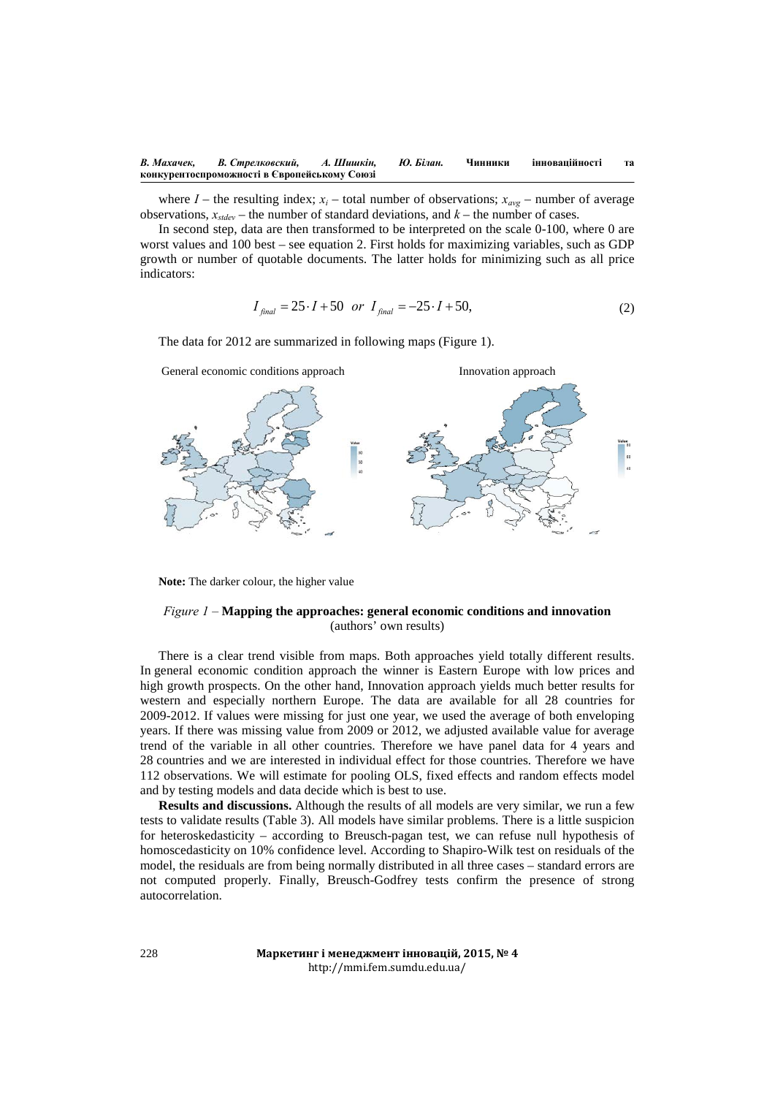where  $I$  – the resulting index;  $x_i$  – total number of observations;  $x_{avg}$  – number of average observations,  $x_{\text{sidev}}$  – the number of standard deviations, and  $k$  – the number of cases.

In second step, data are then transformed to be interpreted on the scale 0-100, where 0 are worst values and 100 best – see equation 2. First holds for maximizing variables, such as GDP growth or number of quotable documents. The latter holds for minimizing such as all price indicators:

$$
I_{\text{final}} = 25 \cdot I + 50 \text{ or } I_{\text{final}} = -25 \cdot I + 50,
$$
 (2)

The data for 2012 are summarized in following maps (Figure 1).



**Note:** The darker colour, the higher value

## *Figure 1 –* **Mapping the approaches: general economic conditions and innovation** (authors' own results)

There is a clear trend visible from maps. Both approaches yield totally different results. In general economic condition approach the winner is Eastern Europe with low prices and high growth prospects. On the other hand, Innovation approach yields much better results for western and especially northern Europe. The data are available for all 28 countries for 2009-2012. If values were missing for just one year, we used the average of both enveloping years. If there was missing value from 2009 or 2012, we adjusted available value for average trend of the variable in all other countries. Therefore we have panel data for 4 years and 28 countries and we are interested in individual effect for those countries. Therefore we have 112 observations. We will estimate for pooling OLS, fixed effects and random effects model and by testing models and data decide which is best to use.

**Results and discussions.** Although the results of all models are very similar, we run a few tests to validate results (Table 3). All models have similar problems. There is a little suspicion for heteroskedasticity – according to Breusch-pagan test, we can refuse null hypothesis of homoscedasticity on 10% confidence level. According to Shapiro-Wilk test on residuals of the model, the residuals are from being normally distributed in all three cases – standard errors are not computed properly. Finally, Breusch-Godfrey tests confirm the presence of strong autocorrelation.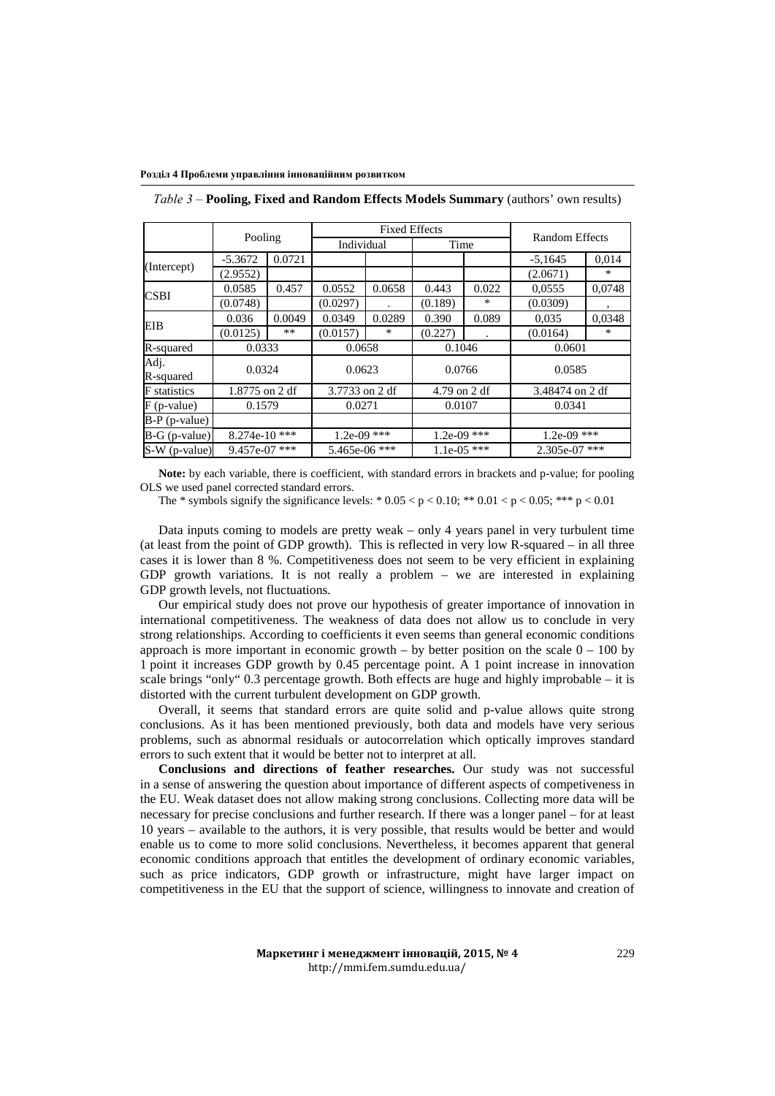#### **Розділ 4 Проблеми управління інноваційним розвитком**

|                     | Pooling         |        | <b>Fixed Effects</b> |        |               |                      | Random Effects  |        |
|---------------------|-----------------|--------|----------------------|--------|---------------|----------------------|-----------------|--------|
|                     |                 |        | Individual           |        | Time          |                      |                 |        |
| (Intercept)         | $-5.3672$       | 0.0721 |                      |        |               |                      | $-5,1645$       | 0.014  |
|                     | (2.9552)        |        |                      |        |               |                      | (2.0671)        | $\ast$ |
| <b>CSBI</b>         | 0.0585          | 0.457  | 0.0552               | 0.0658 | 0.443         | 0.022                | 0.0555          | 0,0748 |
|                     | (0.0748)        |        | (0.0297)             |        | (0.189)       | *                    | (0.0309)        |        |
| EIB                 | 0.036           | 0.0049 | 0.0349               | 0.0289 | 0.390         | 0.089                | 0.035           | 0.0348 |
|                     | (0.0125)        | $***$  | (0.0157)             | *      | (0.227)       | $\ddot{\phantom{a}}$ | (0.0164)        | ∗      |
| R-squared           | 0.0333          |        | 0.0658               |        | 0.1046        |                      | 0.0601          |        |
| Adj.<br>R-squared   | 0.0324          |        | 0.0623               |        | 0.0766        |                      | 0.0585          |        |
| <b>F</b> statistics | 1.8775 on 2 df  |        | 3.7733 on 2 df       |        | 4.79 on 2 df  |                      | 3.48474 on 2 df |        |
| $F$ (p-value)       | 0.1579          |        | 0.0271               |        | 0.0107        |                      | 0.0341          |        |
| $B-P$ (p-value)     |                 |        |                      |        |               |                      |                 |        |
| $B-G(p-value)$      | 8.274e-10***    |        | $1.2e-09$ ***        |        | $1.2e-09$ *** |                      | $1.2e-09$ ***   |        |
| S-W (p-value)       | $9.457e-07$ *** |        | 5.465e-06 ***        |        | $1.1e-05$ *** |                      | $2.305e-07$ *** |        |

*Table 3 –* **Pooling, Fixed and Random Effects Models Summary** (authors' own results)

**Note:** by each variable, there is coefficient, with standard errors in brackets and p-value; for pooling OLS we used panel corrected standard errors.

The \* symbols signify the significance levels: \*  $0.05 < p < 0.10$ ; \*\*  $0.01 < p < 0.05$ ; \*\*\*  $p < 0.01$ 

Data inputs coming to models are pretty weak – only 4 years panel in very turbulent time (at least from the point of GDP growth). This is reflected in very low R-squared – in all three cases it is lower than 8 %. Competitiveness does not seem to be very efficient in explaining GDP growth variations. It is not really a problem – we are interested in explaining GDP growth levels, not fluctuations.

Our empirical study does not prove our hypothesis of greater importance of innovation in international competitiveness. The weakness of data does not allow us to conclude in very strong relationships. According to coefficients it even seems than general economic conditions approach is more important in economic growth – by better position on the scale  $0 - 100$  by 1 point it increases GDP growth by 0.45 percentage point. A 1 point increase in innovation scale brings "only" 0.3 percentage growth. Both effects are huge and highly improbable – it is distorted with the current turbulent development on GDP growth.

Overall, it seems that standard errors are quite solid and p-value allows quite strong conclusions. As it has been mentioned previously, both data and models have very serious problems, such as abnormal residuals or autocorrelation which optically improves standard errors to such extent that it would be better not to interpret at all.

**Conclusions and directions of feather researches.** Our study was not successful in a sense of answering the question about importance of different aspects of competiveness in the EU. Weak dataset does not allow making strong conclusions. Collecting more data will be necessary for precise conclusions and further research. If there was a longer panel – for at least 10 years – available to the authors, it is very possible, that results would be better and would enable us to come to more solid conclusions. Nevertheless, it becomes apparent that general economic conditions approach that entitles the development of ordinary economic variables, such as price indicators, GDP growth or infrastructure, might have larger impact on competitiveness in the EU that the support of science, willingness to innovate and creation of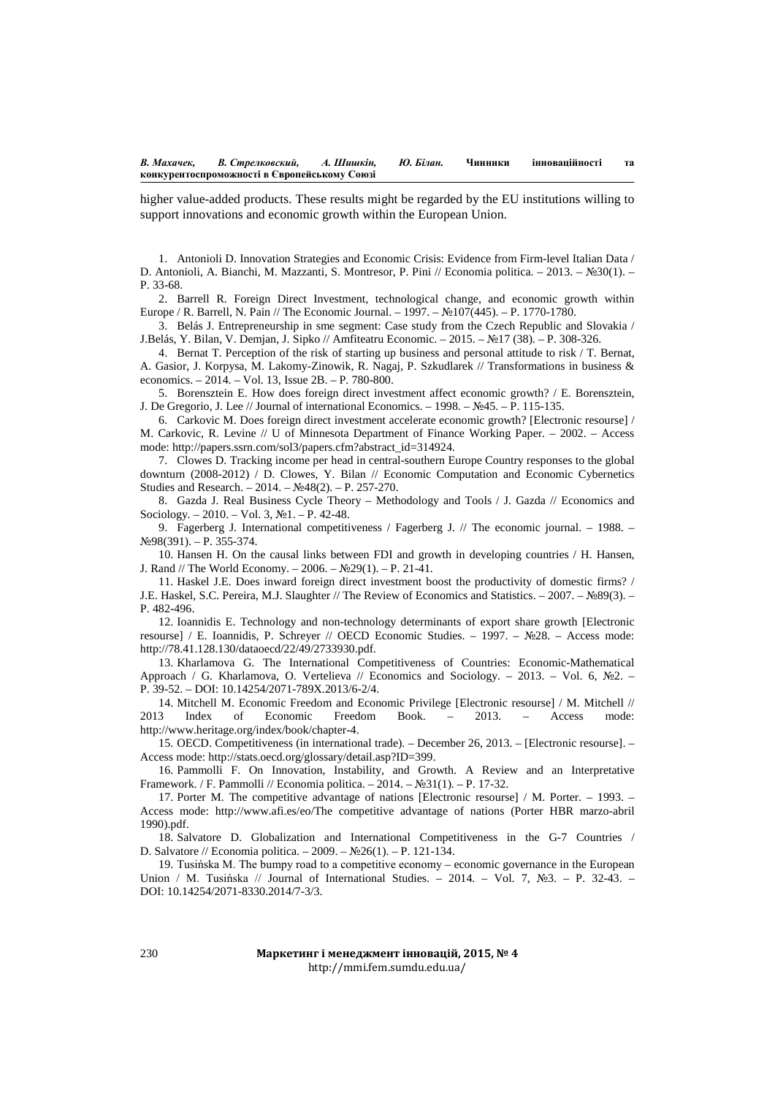higher value-added products. These results might be regarded by the EU institutions willing to support innovations and economic growth within the European Union.

1. Antonioli D. Innovation Strategies and Economic Crisis: Evidence from Firm-level Italian Data / D. Antonioli, A. Bianchi, M. Mazzanti, S. Montresor, P. Pini // Economia politica. – 2013. – №30(1). – P. 33-68.

2. Barrell R. Foreign Direct Investment, technological change, and economic growth within Europe / R. Barrell, N. Pain // The Economic Journal. – 1997. – №107(445). – P. 1770-1780.

3. Belás J. Entrepreneurship in sme segment: Case study from the Czech Republic and Slovakia / J.Belás, Y. Bilan, V. Demjan, J. Sipko // Amfiteatru Economic. – 2015. – №17 (38). – P. 308-326.

4. Bernat T. Perception of the risk of starting up business and personal attitude to risk / T. Bernat, A. Gasior, J. Korpysa, M. Lakomy-Zinowik, R. Nagaj, P. Szkudlarek // Transformations in business & economics. – 2014. – Vol. 13, Issue 2B. – P. 780-800.

5. Borensztein E. How does foreign direct investment affect economic growth? / E. Borensztein, J. De Gregorio, J. Lee // Journal of international Economics. – 1998. – №45. – P. 115-135.

6. Carkovic M. Does foreign direct investment accelerate economic growth? [Electronic resourse] / M. Carkovic, R. Levine // U of Minnesota Department of Finance Working Paper. – 2002. – Access mode: http://papers.ssrn.com/sol3/papers.cfm?abstract\_id=314924.

7. Clowes D. Tracking income per head in central-southern Europe Country responses to the global downturn (2008-2012) / D. Clowes, Y. Bilan // Economic Computation and Economic Cybernetics Studies and Research. – 2014. – №48(2). – P. 257-270.

8. Gazda J. Real Business Cycle Theory – Methodology and Tools / J. Gazda // Economics and Sociology. – 2010. – Vol. 3, №1. – P. 42-48.

9. Fagerberg J. International competitiveness / Fagerberg J. // The economic journal. – 1988. – №98(391). – P. 355-374.

10. Hansen H. On the causal links between FDI and growth in developing countries / H. Hansen, J. Rand // The World Economy. – 2006. – №29(1). – P. 21-41.

11. Haskel J.E. Does inward foreign direct investment boost the productivity of domestic firms? / J.E. Haskel, S.C. Pereira, M.J. Slaughter // The Review of Economics and Statistics. – 2007. – №89(3). – P. 482-496.

12. Ioannidis E. Technology and non-technology determinants of export share growth [Electronic resourse] / E. Ioannidis, P. Schreyer // OECD Economic Studies. – 1997. – №28. – Access mode: http://78.41.128.130/dataoecd/22/49/2733930.pdf.

13. Kharlamova G. The International Competitiveness of Countries: Economic-Mathematical Approach / G. Kharlamova, O. Vertelieva // Economics and Sociology. – 2013. – Vol. 6, №2. – P. 39-52. – DOI: 10.14254/2071-789X.2013/6-2/4.

14. Mitchell M. Economic Freedom and Economic Privilege [Electronic resourse] / M. Mitchell // 2013 Index of Economic Freedom Book. – 2013. – Access mode: http://www.heritage.org/index/book/chapter-4.

15. OECD. Competitiveness (in international trade). – December 26, 2013. – [Electronic resourse]. – Access mode: http://stats.oecd.org/glossary/detail.asp?ID=399.

16. Pammolli F. On Innovation, Instability, and Growth. A Review and an Interpretative Framework. / F. Pammolli // Economia politica. – 2014. – №31(1). – P. 17-32.

17. Porter M. The competitive advantage of nations [Electronic resourse] / M. Porter. – 1993. – Access mode: http://www.afi.es/eo/The competitive advantage of nations (Porter HBR marzo-abril 1990).pdf.

18. Salvatore D. Globalization and International Competitiveness in the G-7 Countries / D. Salvatore // Economia politica. – 2009. – №26(1). – P. 121-134.

19. Tusińska M. The bumpy road to a competitive economy – economic governance in the European Union / M. Tusińska // Journal of International Studies. – 2014. – Vol. 7, №3. – P. 32-43. – DOI: 10.14254/2071-8330.2014/7-3/3.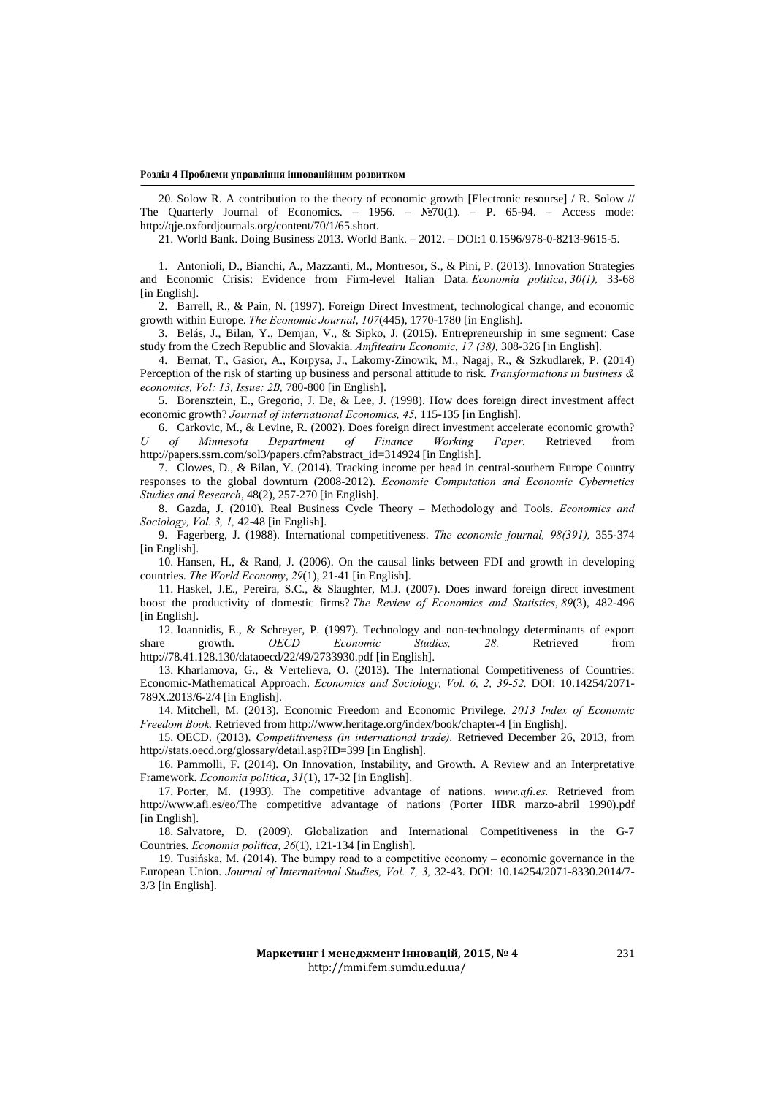#### **Розділ 4 Проблеми управління інноваційним розвитком**

20. Solow R. A contribution to the theory of economic growth [Electronic resourse] / R. Solow // The Quarterly Journal of Economics. – 1956. –  $\mathbb{N}^2[0(1)]$ . – P. 65-94. – Access mode: http://qje.oxfordjournals.org/content/70/1/65.short.

21. World Bank. Doing Business 2013. World Bank. – 2012. – DOI:1 0.1596/978-0-8213-9615-5.

1. Antonioli, D., Bianchi, A., Mazzanti, M., Montresor, S., & Pini, P. (2013). Innovation Strategies and Economic Crisis: Evidence from Firm-level Italian Data. *Economia politica*, *30(1),* 33-68 [in English].

2. Barrell, R., & Pain, N. (1997). Foreign Direct Investment, technological change, and economic growth within Europe. *The Economic Journal*, *107*(445), 1770-1780 [in English].

3. Belás, J., Bilan, Y., Demjan, V., & Sipko, J. (2015). Entrepreneurship in sme segment: Case study from the Czech Republic and Slovakia. *Amfiteatru Economic, 17 (38),* 308-326 [in English].

4. Bernat, T., Gasior, A., Korpysa, J., Lakomy-Zinowik, M., Nagaj, R., & Szkudlarek, P. (2014) Perception of the risk of starting up business and personal attitude to risk. *Transformations in business & economics, Vol: 13, Issue: 2B,* 780-800 [in English].

5. Borensztein, E., Gregorio, J. De, & Lee, J. (1998). How does foreign direct investment affect economic growth? *Journal of international Economics, 45,* 115-135 [in English].

6. Carkovic, M., & Levine, R. (2002). Does foreign direct investment accelerate economic growth? *U of Minnesota Department of Finance Working Paper.* Retrieved from http://papers.ssrn.com/sol3/papers.cfm?abstract\_id=314924 [in English].

7. Clowes, D., & Bilan, Y. (2014). Tracking income per head in central-southern Europe Country responses to the global downturn (2008-2012). *Economic Computation and Economic Cybernetics Studies and Research*, 48(2), 257-270 [in English].

8. Gazda, J. (2010). Real Business Cycle Theory – Methodology and Tools. *Economics and Sociology, Vol. 3, 1,* 42-48 [in English].

9. Fagerberg, J. (1988). International competitiveness. *The economic journal, 98(391),* 355-374 [in English].

10. Hansen, H., & Rand, J. (2006). On the causal links between FDI and growth in developing countries. *The World Economy*, *29*(1), 21-41 [in English].

11. Haskel, J.E., Pereira, S.C., & Slaughter, M.J. (2007). Does inward foreign direct investment boost the productivity of domestic firms? *The Review of Economics and Statistics*, *89*(3), 482-496 [in English].

12. Ioannidis, E., & Schreyer, P. (1997). Technology and non-technology determinants of export share growth. *OECD Economic Studies, 28.* Retrieved from http://78.41.128.130/dataoecd/22/49/2733930.pdf [in English].

13. Kharlamova, G., & Vertelieva, O. (2013). The International Competitiveness of Countries: Economic-Mathematical Approach. *Economics and Sociology, Vol. 6, 2, 39-52.* DOI: 10.14254/2071- 789X.2013/6-2/4 [in English].

14. Mitchell, M. (2013). Economic Freedom and Economic Privilege. *2013 Index of Economic Freedom Book.* Retrieved from http://www.heritage.org/index/book/chapter-4 [in English].

15. OECD. (2013). *Competitiveness (in international trade).* Retrieved December 26, 2013, from http://stats.oecd.org/glossary/detail.asp?ID=399 [in English].

16. Pammolli, F. (2014). On Innovation, Instability, and Growth. A Review and an Interpretative Framework. *Economia politica*, *31*(1), 17-32 [in English].

17. Porter, M. (1993). The competitive advantage of nations. *www.afi.es.* Retrieved from http://www.afi.es/eo/The competitive advantage of nations (Porter HBR marzo-abril 1990).pdf [in English].

18. Salvatore, D. (2009). Globalization and International Competitiveness in the G-7 Countries. *Economia politica*, *26*(1), 121-134 [in English].

19. Tusińska, M. (2014). The bumpy road to a competitive economy – economic governance in the European Union. *Journal of International Studies, Vol. 7, 3,* 32-43. DOI: 10.14254/2071-8330.2014/7- 3/3 [in English].